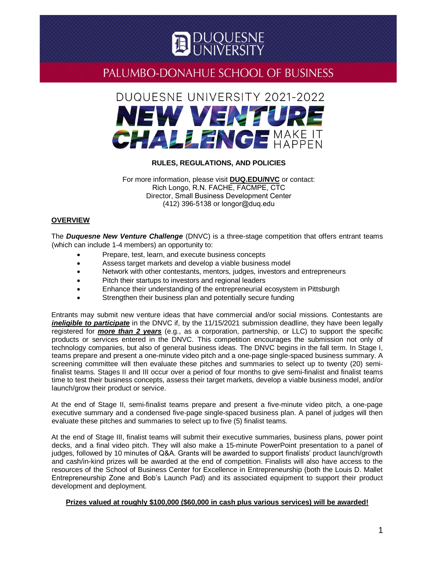

## DUQUESNE UNIVERSITY 2021-2022 NEW VENTURE **CHALLENGE MAKE IT**

## **RULES, REGULATIONS, AND POLICIES**

For more information, please visit **[DUQ.EDU/NVC](http://www.duq.edu/academics/schools/business/undergraduate/academics/majors/entrepreneurship/new-venture-challenge)** or contact: Rich Longo, R.N. FACHE, FACMPE, CTC Director, Small Business Development Center (412) 396-5138 or [longor@duq.edu](mailto:migliuolom@duq.edu)

## **OVERVIEW**

The *[Duquesne New Venture Challenge](https://www.duq.edu/academics/schools/business/undergraduate/academics/majors/entrepreneurship/new-venture-challenge)* (DNVC) is a three-stage competition that offers entrant teams (which can include 1-4 members) an opportunity to:

- Prepare, test, learn, and execute business concepts
- Assess target markets and develop a viable business model
- Network with other contestants, mentors, judges, investors and entrepreneurs
- Pitch their startups to investors and regional leaders
- Enhance their understanding of the entrepreneurial ecosystem in Pittsburgh
- Strengthen their business plan and potentially secure funding

Entrants may submit new venture ideas that have commercial and/or social missions. Contestants are *ineligible to participate* in the DNVC if, by the 11/15/2021 submission deadline, they have been legally registered for *more than 2 years* (e.g., as a corporation, partnership, or LLC) to support the specific products or services entered in the DNVC. This competition encourages the submission not only of technology companies, but also of general business ideas. The DNVC begins in the fall term. In Stage I, teams prepare and present a one-minute video pitch and a one-page single-spaced business summary. A screening committee will then evaluate these pitches and summaries to select up to twenty (20) semifinalist teams. Stages II and III occur over a period of four months to give semi-finalist and finalist teams time to test their business concepts, assess their target markets, develop a viable business model, and/or launch/grow their product or service.

At the end of Stage II, semi-finalist teams prepare and present a five-minute video pitch, a one-page executive summary and a condensed five-page single-spaced business plan. A panel of judges will then evaluate these pitches and summaries to select up to five (5) finalist teams.

At the end of Stage III, finalist teams will submit their executive summaries, business plans, power point decks, and a final video pitch. They will also make a 15-minute PowerPoint presentation to a panel of judges, followed by 10 minutes of Q&A. Grants will be awarded to support finalists' product launch/growth and cash/in-kind prizes will be awarded at the end of competition. Finalists will also have access to the resources of the School of Business Center for Excellence in Entrepreneurship (both the Louis D. Mallet Entrepreneurship Zone and Bob's Launch Pad) and its associated equipment to support their product development and deployment.

## **Prizes valued at roughly \$100,000 (\$60,000 in cash plus various services) will be awarded!**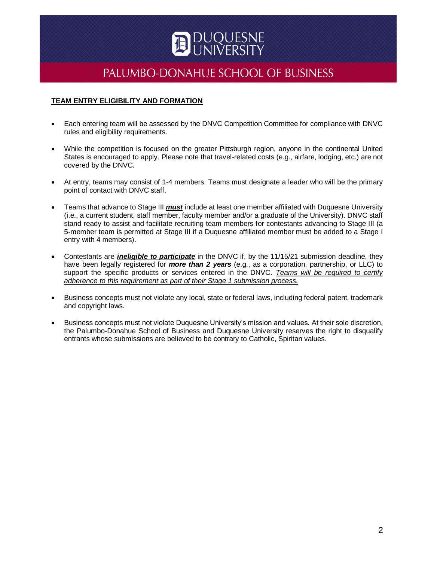

## **TEAM ENTRY ELIGIBILITY AND FORMATION**

- Each entering team will be assessed by the DNVC Competition Committee for compliance with DNVC rules and eligibility requirements.
- While the competition is focused on the greater Pittsburgh region, anyone in the continental United States is encouraged to apply. Please note that travel-related costs (e.g., airfare, lodging, etc.) are not covered by the DNVC.
- At entry, teams may consist of 1-4 members. Teams must designate a leader who will be the primary point of contact with DNVC staff.
- Teams that advance to Stage III *must* include at least one member affiliated with Duquesne University (i.e., a current student, staff member, faculty member and/or a graduate of the University). DNVC staff stand ready to assist and facilitate recruiting team members for contestants advancing to Stage III (a 5-member team is permitted at Stage III if a Duquesne affiliated member must be added to a Stage I entry with 4 members).
- Contestants are *ineligible to participate* in the DNVC if, by the 11/15/21 submission deadline, they have been legally registered for *more than 2 years* (e.g., as a corporation, partnership, or LLC) to support the specific products or services entered in the DNVC. *Teams will be required to certify adherence to this requirement as part of their Stage 1 submission process.*
- Business concepts must not violate any local, state or federal laws, including federal patent, trademark and copyright laws.
- Business concepts must not violate Duquesne University's mission and values. At their sole discretion, the Palumbo-Donahue School of Business and Duquesne University reserves the right to disqualify entrants whose submissions are believed to be contrary to Catholic, Spiritan values.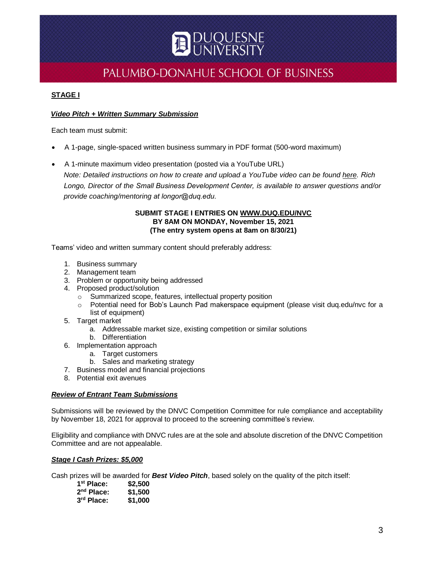

## **STAGE I**

## *Video Pitch + Written Summary Submission*

Each team must submit:

- A 1-page, single-spaced written business summary in PDF format (500-word maximum)
- A 1-minute maximum video presentation (posted via a YouTube URL) *Note: Detailed instructions on how to create and upload a YouTube video can be found [here.](https://www.wikihow.com/Create-Your-Own-YouTube-Video) Rich Longo, Director of the Small Business Development Center, is available to answer questions and/or provide coaching/mentoring at longor@duq.edu.*

## **SUBMIT STAGE I ENTRIES ON [WWW.DUQ.EDU/NVC](http://www.duq.edu/NVC) BY 8AM ON MONDAY, November 15, 2021 (The entry system opens at 8am on 8/30/21)**

Teams' video and written summary content should preferably address:

- 1. Business summary
- 2. Management team
- 3. Problem or opportunity being addressed
- 4. Proposed product/solution
	- o Summarized scope, features, intellectual property position
	- o Potential need for Bob's Launch Pad makerspace equipment (please visit duq.edu/nvc for a list of equipment)
- 5. Target market
	- a. Addressable market size, existing competition or similar solutions
	- b. Differentiation
- 6. Implementation approach
	- a. Target customers
	- b. Sales and marketing strategy
- 7. Business model and financial projections
- 8. Potential exit avenues

#### *Review of Entrant Team Submissions*

Submissions will be reviewed by the DNVC Competition Committee for rule compliance and acceptability by November 18, 2021 for approval to proceed to the screening committee's review.

Eligibility and compliance with DNVC rules are at the sole and absolute discretion of the DNVC Competition Committee and are not appealable.

## *Stage I Cash Prizes: \$5,000*

Cash prizes will be awarded for *Best Video Pitch*, based solely on the quality of the pitch itself:

| 1 <sup>st</sup> Place: | \$2,500 |
|------------------------|---------|
| 2 <sup>nd</sup> Place: | \$1,500 |
| 3rd Place:             | \$1,000 |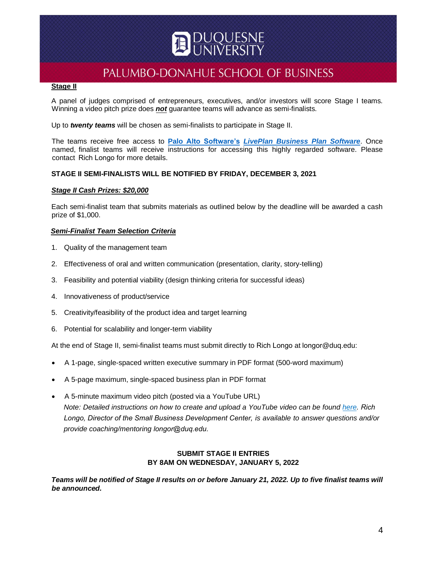## <u>JUQUESNE</u><br>INIVERSITV

## PALUMBO-DONAHUE SCHOOL OF BUSINESS

## **Stage II**

A panel of judges comprised of entrepreneurs, executives, and/or investors will score Stage I teams. Winning a video pitch prize does *not* guarantee teams will advance as semi-finalists.

Up to *twenty teams* will be chosen as semi-finalists to participate in Stage II.

The teams receive free access to **[Palo Alto Software's](https://www.paloalto.com/about-us)** *LivePlan [Business Plan Software](https://www.liveplan.com/?pasc=pas-lp-software-main&utm_medium=referral&utm_source=paloalto.com&utm_content=software&utm_term=lp-learnmore&__hstc=131261584.4d9bde538b3ed9e21863ba593ff01a4b.1556587858677.1558301783605.1560026821412.3&__hssc=131261584.2.1560026821412&__hsfp=2352299496&_ga=2.153889912.1969739362.1560026821-2120879228.1556587859)*. Once named, finalist teams will receive instructions for accessing this highly regarded software. Please contact Rich Longo for more details.

## **STAGE II SEMI-FINALISTS WILL BE NOTIFIED BY FRIDAY, DECEMBER 3, 2021**

## *Stage II Cash Prizes: \$20,000*

Each semi-finalist team that submits materials as outlined below by the deadline will be awarded a cash prize of \$1,000.

## *Semi-Finalist Team Selection Criteria*

- 1. Quality of the management team
- 2. Effectiveness of oral and written communication (presentation, clarity, story-telling)
- 3. Feasibility and potential viability (design thinking criteria for successful ideas)
- 4. Innovativeness of product/service
- 5. Creativity/feasibility of the product idea and target learning
- 6. Potential for scalability and longer-term viability

At the end of Stage II, semi-finalist teams must submit directly to Rich Longo at longor@duq.edu:

- A 1-page, single-spaced written executive summary in PDF format (500-word maximum)
- A 5-page maximum, single-spaced business plan in PDF format
- A 5-minute maximum video pitch (posted via a YouTube URL) *Note: Detailed instructions on how to create and upload a YouTube video can be found [here.](https://www.wikihow.com/Create-Your-Own-YouTube-Video) Rich Longo, Director of the Small Business Development Center, is available to answer questions and/or provide coaching/mentoring longor@duq.edu.*

## **SUBMIT STAGE II ENTRIES BY 8AM ON WEDNESDAY, JANUARY 5, 2022**

*Teams will be notified of Stage II results on or before January 21, 2022. Up to five finalist teams will be announced.*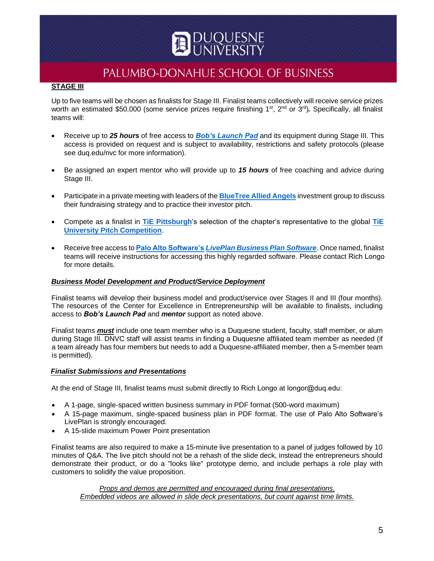# JQUESNE<br>jivepsitv

## PALUMBO-DONAHUE SCHOOL OF BUSINESS

## **STAGE III**

Up to five teams will be chosen as finalists for Stage III. Finalist teams collectively will receive service prizes worth an estimated \$50,000 (some service prizes require finishing 1<sup>st</sup>, 2<sup>nd</sup> or 3<sup>rd</sup>). Specifically, all finalist teams will:

- Receive up to *25 hours* of free access to *[Bob's Launch Pad](https://duq.edu/academics/schools/business/business-centers-and-institutes/center-for-excellence-in-entrepreneurship)* and its equipment during Stage III. This access is provided on request and is subject to availability, restrictions and safety protocols (please see duq.edu/nvc for more information).
- Be assigned an expert mentor who will provide up to *15 hours* of free coaching and advice during Stage III.
- Participate in a private meeting with leaders of the **[BlueTree Allied Angels](https://www.bluetreealliedangels.com/)** investment group to discuss their fundraising strategy and to practice their investor pitch.
- Compete as a finalist in **[TiE Pittsburgh](https://pittsburgh.tie.org/)**'s selection of the chapter's representative to the global **[TiE](https://tieuniversity.org/pitch-competition-2021/) [University Pitch Competition](https://tieuniversity.org/pitch-competition-2021/)**.
- Receive free access to **[Palo Alto Software's](https://www.paloalto.com/about-us)** *LivePlan [Business Plan Software](https://www.liveplan.com/?pasc=pas-lp-software-main&utm_medium=referral&utm_source=paloalto.com&utm_content=software&utm_term=lp-learnmore&__hstc=131261584.4d9bde538b3ed9e21863ba593ff01a4b.1556587858677.1558301783605.1560026821412.3&__hssc=131261584.2.1560026821412&__hsfp=2352299496&_ga=2.153889912.1969739362.1560026821-2120879228.1556587859)*. Once named, finalist teams will receive instructions for accessing this highly regarded software. Please contact Rich Longo for more details.

## *Business Model Development and Product/Service Deployment*

Finalist teams will develop their business model and product/service over Stages II and III (four months). The resources of the Center for Excellence in Entrepreneurship will be available to finalists, including access to *Bob's Launch Pad* and *mentor* support as noted above.

Finalist teams *must* include one team member who is a Duquesne student, faculty, staff member, or alum during Stage III. DNVC staff will assist teams in finding a Duquesne affiliated team member as needed (if a team already has four members but needs to add a Duquesne-affiliated member, then a 5-member team is permitted).

#### *Finalist Submissions and Presentations*

At the end of Stage III, finalist teams must submit directly to Rich Longo at longor@duq.edu:

- A 1-page, single-spaced written business summary in PDF format (500-word maximum)
- A 15-page maximum, single-spaced business plan in PDF format. The use of Palo Alto Software's LivePlan is strongly encouraged.
- A 15-slide maximum Power Point presentation

Finalist teams are also required to make a 15-minute live presentation to a panel of judges followed by 10 minutes of Q&A. The live pitch should not be a rehash of the slide deck, instead the entrepreneurs should demonstrate their product, or do a "looks like" prototype demo, and include perhaps a role play with customers to solidify the value proposition.

*Props and demos are permitted and encouraged during final presentations. Embedded videos are allowed in slide deck presentations, but count against time limits.*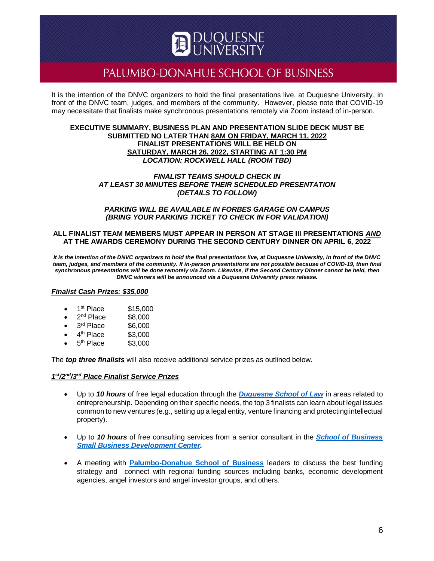It is the intention of the DNVC organizers to hold the final presentations live, at Duquesne University, in front of the DNVC team, judges, and members of the community. However, please note that COVID-19 may necessitate that finalists make synchronous presentations remotely via Zoom instead of in-person.

#### **EXECUTIVE SUMMARY, BUSINESS PLAN AND PRESENTATION SLIDE DECK MUST BE SUBMITTED NO LATER THAN 8AM ON FRIDAY, MARCH 11, 2022 FINALIST PRESENTATIONS WILL BE HELD ON SATURDAY, MARCH 26, 2022, STARTING AT 1:30 PM** *LOCATION: ROCKWELL HALL (ROOM TBD)*

#### *FINALIST TEAMS SHOULD CHECK IN AT LEAST 30 MINUTES BEFORE THEIR SCHEDULED PRESENTATION (DETAILS TO FOLLOW)*

#### *PARKING WILL BE AVAILABLE IN FORBES GARAGE ON CAMPUS (BRING YOUR PARKING TICKET TO CHECK IN FOR VALIDATION)*

### **ALL FINALIST TEAM MEMBERS MUST APPEAR IN PERSON AT STAGE III PRESENTATIONS** *AND* **AT THE AWARDS CEREMONY DURING THE SECOND CENTURY DINNER ON APRIL 6, 2022**

*It is the intention of the DNVC organizers to hold the final presentations live, at Duquesne University, in front of the DNVC team, judges, and members of the community. If in-person presentations are not possible because of COVID-19, then final synchronous presentations will be done remotely via Zoom. Likewise, if the Second Century Dinner cannot be held, then DNVC winners will be announced via a Duquesne University press release.*

#### *Finalist Cash Prizes: \$35,000*

- 1<sup>st</sup> Place \$15,000
- $\bullet$  2<sup>nd</sup> Place \$8,000
- 3<sup>rd</sup> Place \$6,000
- $\bullet$  4<sup>th</sup> Place \$3,000
- $\bullet$  5<sup>th</sup> Place \$3,000

The *top three finalists* will also receive additional service prizes as outlined below.

## *1 st/2nd/3rd Place Finalist Service Prizes*

- Up to *10 hours* of free legal education through the *[Duquesne School of Law](https://duq.edu/academics/schools/law)* in areas related to entrepreneurship. Depending on their specific needs, the top 3 finalists can learn about legal issues common to new ventures (e.g., setting up a legal entity, venture financing and protecting intellectual property).
- Up to *10 hours* of free consulting services from a senior consultant in the *[School of Business](https://www.sbdc.duq.edu/) [Small Business Development Center.](https://www.sbdc.duq.edu/)*
- A meeting with **Palumbo-Donahue [School of Business](https://duq.edu/academics/schools/business)** leaders to discuss the best funding strategy and connect with regional funding sources including banks, economic development agencies, angel investors and angel investor groups, and others.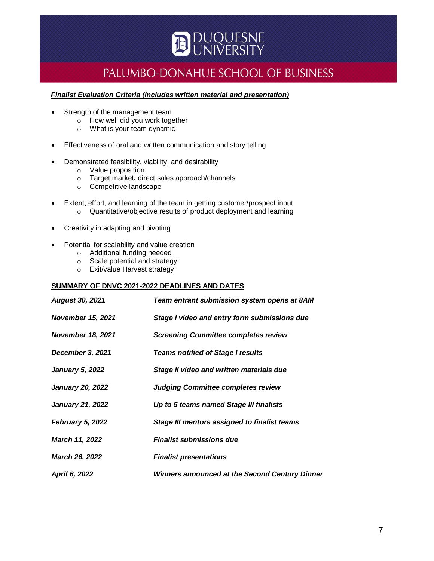

### *Finalist Evaluation Criteria (includes written material and presentation)*

- Strength of the management team
	- o How well did you work together
	- o What is your team dynamic
- Effectiveness of oral and written communication and story telling
	- Demonstrated feasibility, viability, and desirability
		- o Value proposition
		- o Target market**,** direct sales approach/channels
		- o Competitive landscape
- Extent, effort, and learning of the team in getting customer/prospect input o Quantitative/objective results of product deployment and learning
- Creativity in adapting and pivoting
- Potential for scalability and value creation
	- o Additional funding needed
	- o Scale potential and strategy
	- o Exit/value Harvest strategy

## **SUMMARY OF DNVC 2021-2022 DEADLINES AND DATES**

| <b>August 30, 2021</b>   | Team entrant submission system opens at 8AM           |
|--------------------------|-------------------------------------------------------|
| <b>November 15, 2021</b> | Stage I video and entry form submissions due          |
| <b>November 18, 2021</b> | <b>Screening Committee completes review</b>           |
| December 3, 2021         | <b>Teams notified of Stage I results</b>              |
| <b>January 5, 2022</b>   | Stage II video and written materials due              |
| <b>January 20, 2022</b>  | <b>Judging Committee completes review</b>             |
| <b>January 21, 2022</b>  | Up to 5 teams named Stage III finalists               |
| <b>February 5, 2022</b>  | Stage III mentors assigned to finalist teams          |
| March 11, 2022           | <b>Finalist submissions due</b>                       |
| <b>March 26, 2022</b>    | <b>Finalist presentations</b>                         |
| April 6, 2022            | <b>Winners announced at the Second Century Dinner</b> |